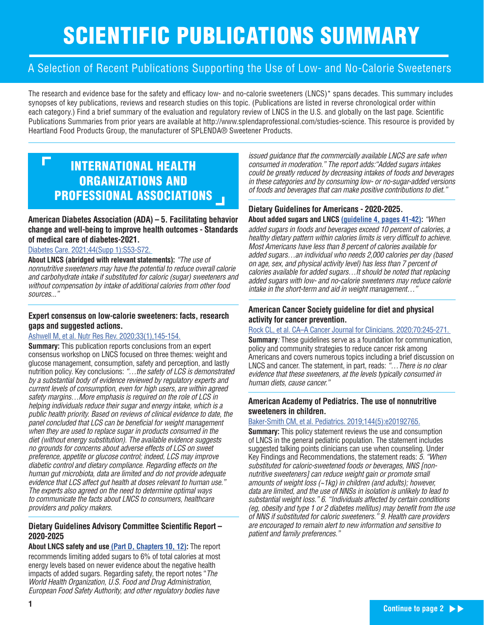# SCIENTIFIC PUBLICATIONS SUMMARY

### A Selection of Recent Publications Supporting the Use of Low- and No-Calorie Sweeteners

The research and evidence base for the safety and efficacy low- and no-calorie sweeteners (LNCS)\* spans decades. This summary includes synopses of key publications, reviews and research studies on this topic. (Publications are listed in reverse chronological order within each category.) Find a brief summary of the evaluation and regulatory review of LNCS in the U.S. and globally on the last page. Scientific Publications Summaries from prior years are available at http://www.splendaprofessional.com/studies-science. This resource is provided by Heartland Food Products Group, the manufacturer of SPLENDA® Sweetener Products.

### INTERNATIONAL HEALTH ORGANIZATIONS AND PROFESSIONAL ASSOCIATIONS

**American Diabetes Association (ADA) – 5. Facilitating behavior change and well-being to improve health outcomes - Standards of medical care of diabetes-2021.** 

Diabetes Care. 2021;44(Supp 1):S53-S72.

**About LNCS (abridged with relevant statements):** "The use of nonnutritive sweeteners may have the potential to reduce overall calorie and carbohydrate intake if substituted for caloric (sugar) sweeteners and without compensation by intake of additional calories from other food sources..."

#### **Expert consensus on low-calorie sweeteners: facts, research gaps and suggested actions.**

#### Ashwell M, et al. Nutr Res Rev. 2020;33(1),145-154.

**Summary:** This publication reports conclusions from an expert consensus workshop on LNCS focused on three themes: weight and glucose management, consumption, safety and perception, and lastly nutrition policy. Key conclusions: "...the safety of LCS is demonstrated by a substantial body of evidence reviewed by regulatory experts and current levels of consumption, even for high users, are within agreed safety margins…More emphasis is required on the role of LCS in helping individuals reduce their sugar and energy intake, which is a public health priority. Based on reviews of clinical evidence to date, the panel concluded that LCS can be beneficial for weight management when they are used to replace sugar in products consumed in the diet (without energy substitution). The available evidence suggests no grounds for concerns about adverse effects of LCS on sweet preference, appetite or glucose control; indeed, LCS may improve diabetic control and dietary compliance. Regarding effects on the human gut microbiota, data are limited and do not provide adequate evidence that LCS affect gut health at doses relevant to human use." The experts also agreed on the need to determine optimal ways to communicate the facts about LNCS to consumers, healthcare providers and policy makers.

#### **Dietary Guidelines Advisory Committee Scientific Report – 2020-2025**

**About LNCS safety and use (Part D, Chapters 10, 12):** The report recommends limiting added sugars to 6% of total calories at most energy levels based on newer evidence about the negative health impacts of added sugars. Regarding safety, the report notes "The World Health Organization, U.S. Food and Drug Administration, European Food Safety Authority, and other regulatory bodies have

issued guidance that the commercially available LNCS are safe when consumed in moderation." The report adds:"Added sugars intakes could be greatly reduced by decreasing intakes of foods and beverages in these categories and by consuming low- or no-sugar-added versions of foods and beverages that can make positive contributions to diet."

#### **Dietary Guidelines for Americans - 2020-2025. About added sugars and LNCS (guideline 4, pages 41-42):** "When

added sugars in foods and beverages exceed 10 percent of calories, a healthy dietary pattern within calories limits is very difficult to achieve. Most Americans have less than 8 percent of calories available for added sugars…an individual who needs 2,000 calories per day (based on age, sex, and physical activity level) has less than 7 percent of calories available for added sugars…It should be noted that replacing added sugars with low- and no-calorie sweeteners may reduce calorie intake in the short-term and aid in weight management…"

#### **American Cancer Society guideline for diet and physical activity for cancer prevention.**

#### Rock CL, et al. CA-A Cancer Journal for Clinicians. 2020;70:245-271.

**Summary:** These quidelines serve as a foundation for communication, policy and community strategies to reduce cancer risk among Americans and covers numerous topics including a brief discussion on LNCS and cancer. The statement, in part, reads: "...There is no clear evidence that these sweeteners, at the levels typically consumed in human diets, cause cancer."

#### **American Academy of Pediatrics. The use of nonnutritive sweeteners in children.**

#### Baker-Smith CM, et al. Pediatrics. 2019;144(5):e20192765.

**Summary:** This policy statement reviews the use and consumption of LNCS in the general pediatric population. The statement includes suggested talking points clinicians can use when counseling. Under Key Findings and Recommendations, the statement reads: 5. "When substituted for caloric-sweetened foods or beverages, NNS [nonnutritive sweeteners] can reduce weight gain or promote small amounts of weight loss (~1kg) in children (and adults); however, data are limited, and the use of NNSs in isolation is unlikely to lead to substantial weight loss." 6. "Individuals affected by certain conditions (eg, obesity and type 1 or 2 diabetes mellitus) may benefit from the use of NNS if substituted for caloric sweeteners." 9. Health care providers are encouraged to remain alert to new information and sensitive to patient and family preferences."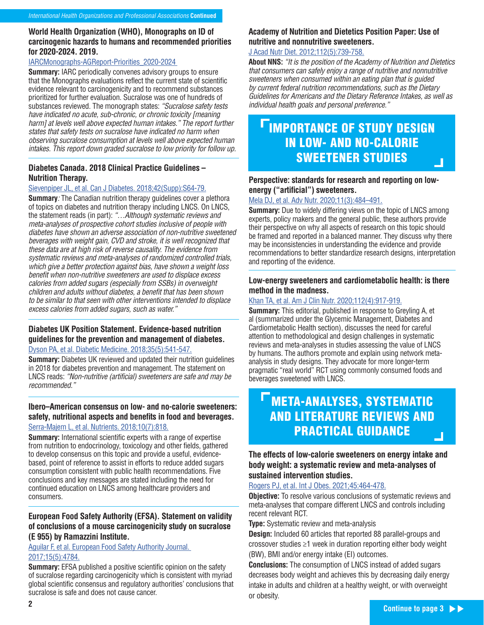#### **World Health Organization (WHO), Monographs on ID of carcinogenic hazards to humans and recommended priorities for 2020-2024. 2019.**

#### IARCMonographs-AGReport-Priorities\_2020-2024

**Summary:** IARC periodically convenes advisory groups to ensure that the Monographs evaluations reflect the current state of scientific evidence relevant to carcinogenicity and to recommend substances prioritized for further evaluation. Sucralose was one of hundreds of substances reviewed. The monograph states: "Sucralose safety tests have indicated no acute, sub-chronic, or chronic toxicity [meaning harm] at levels well above expected human intakes." The report further states that safety tests on sucralose have indicated no harm when observing sucralose consumption at levels well above expected human intakes. This report down graded sucralose to low priority for follow up.

#### **Diabetes Canada. 2018 Clinical Practice Guidelines – Nutrition Therapy.**

#### Sievenpiper JL, et al. Can J Diabetes. 2018;42(Supp):S64-79.

**Summary:** The Canadian nutrition therapy guidelines cover a plethora of topics on diabetes and nutrition therapy including LNCS. On LNCS, the statement reads (in part): "…Although systematic reviews and meta-analyses of prospective cohort studies inclusive of people with diabetes have shown an adverse association of non-nutritive sweetened beverages with weight gain, CVD and stroke, it is well recognized that these data are at high risk of reverse causality. The evidence from systematic reviews and meta-analyses of randomized controlled trials, which give a better protection against bias, have shown a weight loss benefit when non-nutritive sweeteners are used to displace excess calories from added sugars (especially from SSBs) in overweight children and adults without diabetes, a benefit that has been shown to be similar to that seen with other interventions intended to displace excess calories from added sugars, such as water."

#### **Diabetes UK Position Statement. Evidence-based nutrition guidelines for the prevention and management of diabetes.**

Dyson PA, et al. Diabetic Medicine. 2018;35(5):541-547.

**Summary:** Diabetes UK reviewed and updated their nutrition quidelines in 2018 for diabetes prevention and management. The statement on LNCS reads: "Non-nutritive (artificial) sweeteners are safe and may be recommended."

#### **Ibero–American consensus on low- and no-calorie sweeteners: safety, nutritional aspects and benefits in food and beverages.** Serra-Majem L, et al. Nutrients. 2018;10(7):818.

**Summary:** International scientific experts with a range of expertise from nutrition to endocrinology, toxicology and other fields, gathered to develop consensus on this topic and provide a useful, evidencebased, point of reference to assist in efforts to reduce added sugars consumption consistent with public health recommendations. Five conclusions and key messages are stated including the need for continued education on LNCS among healthcare providers and consumers.

#### **European Food Safety Authority (EFSA). Statement on validity of conclusions of a mouse carcinogenicity study on sucralose (E 955) by Ramazzini Institute.**

Aguilar F, et al. European Food Safety Authority Journal. 2017;15(5):4784.

**Summary:** EFSA published a positive scientific opinion on the safety of sucralose regarding carcinogenicity which is consistent with myriad global scientific consensus and regulatory authorities' conclusions that sucralose is safe and does not cause cancer.

#### **Academy of Nutrition and Dietetics Position Paper: Use of nutritive and nonnutritive sweeteners.**

#### J Acad Nutr Diet. 2012;112(5):739-758.

**About NNS:** "It is the position of the Academy of Nutrition and Dietetics that consumers can safely enjoy a range of nutritive and nonnutritive sweeteners when consumed within an eating plan that is guided by current federal nutrition recommendations, such as the Dietary Guidelines for Americans and the Dietary Reference Intakes, as well as individual health goals and personal preference."

### **TIMPORTANCE OF STUDY DESIGN** IN LOW- AND NO-CALORIE SWEETENER STUDIES - 1

#### **Perspective: standards for research and reporting on lowenergy ("artificial") sweeteners.**

#### Mela DJ, et al. Adv Nutr. 2020;11(3):484–491.

**Summary:** Due to widely differing views on the topic of LNCS among experts, policy makers and the general public, these authors provide their perspective on why all aspects of research on this topic should be framed and reported in a balanced manner. They discuss why there may be inconsistencies in understanding the evidence and provide recommendations to better standardize research designs, interpretation and reporting of the evidence.

#### **Low-energy sweeteners and cardiometabolic health: is there method in the madness.**

#### Khan TA, et al. Am J Clin Nutr. 2020;112(4):917-919.

**Summary:** This editorial, published in response to Greyling A, et al (summarized under the Glycemic Management, Diabetes and Cardiometabolic Health section), discusses the need for careful attention to methodological and design challenges in systematic reviews and meta-analyses in studies assessing the value of LNCS by humans. The authors promote and explain using network metaanalysis in study designs. They advocate for more longer-term pragmatic "real world" RCT using commonly consumed foods and beverages sweetened with LNCS.

### META-ANALYSES, SYSTEMATIC AND LITERATURE REVIEWS AND PRACTICAL GUIDANCE

**The effects of low-calorie sweeteners on energy intake and body weight: a systematic review and meta-analyses of sustained intervention studies.** 

#### Rogers PJ, et al. Int J Obes. 2021;45:464-478.

**Objective:** To resolve various conclusions of systematic reviews and meta-analyses that compare different LNCS and controls including recent relevant RCT.

**Type:** Systematic review and meta-analysis

**Design:** Included 60 articles that reported 88 parallel-groups and crossover studies ≥1 week in duration reporting either body weight (BW), BMI and/or energy intake (EI) outcomes.

**Conclusions:** The consumption of LNCS instead of added sugars decreases body weight and achieves this by decreasing daily energy intake in adults and children at a healthy weight, or with overweight or obesity.

Π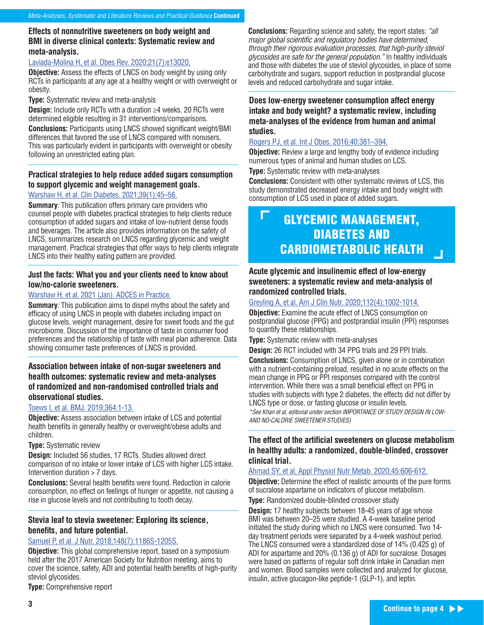#### **Effects of nonnutritive sweeteners on body weight and BMI in diverse clinical contexts: Systematic review and meta-analysis.**

#### Laviada-Molina H, et al. Obes Rev. 2020;21(7):e13020.

**Objective:** Assess the effects of LNCS on body weight by using only RCTs in participants at any age at a healthy weight or with overweight or obesity.

#### **Type:** Systematic review and meta-analysis

**Design:** Include only RCTs with a duration ≥4 weeks. 20 RCTs were determined eligible resulting in 31 interventions/comparisons.

**Conclusions:** Participants using LNCS showed significant weight/BMI differences that favored the use of LNCS compared with nonusers. This was particularly evident in participants with overweight or obesity following an unrestricted eating plan.

#### **Practical strategies to help reduce added sugars consumption to support glycemic and weight management goals.**

#### Warshaw H, et al. Clin Diabetes. 2021;39(1):45–56.

**Summary**: This publication offers primary care providers who counsel people with diabetes practical strategies to help clients reduce consumption of added sugars and intake of low-nutrient dense foods and beverages. The article also provides information on the safety of LNCS, summarizes research on LNCS regarding glycemic and weight management. Practical strategies that offer ways to help clients integrate LNCS into their healthy eating pattern are provided.

#### **Just the facts: What you and your clients need to know about low/no-calorie sweeteners.**

#### Warshaw H, et al. 2021 (Jan). ADCES in Practice.

**Summary:** This publication aims to dispel myths about the safety and efficacy of using LNCS in people with diabetes including impact on glucose levels, weight management, desire for sweet foods and the gut microbiome. Discussion of the importance of taste in consumer food preferences and the relationship of taste with meal plan adherence. Data showing consumer taste preferences of LNCS is provided.

#### **Association between intake of non-sugar sweeteners and health outcomes: systematic review and meta-analyses of randomized and non-randomised controlled trials and observational studies.**

#### Toews I, et al. BMJ. 2019;364:1-13.

**Objective:** Assess association between intake of LCS and potential health benefits in generally healthy or overweight/obese adults and children.

#### **Type:** Systematic review

**Design:** Included 56 studies, 17 RCTs. Studies allowed direct comparison of no intake or lower intake of LCS with higher LCS intake. Intervention duration > 7 days.

**Conclusions:** Several health benefits were found. Reduction in calorie consumption, no effect on feelings of hunger or appetite, not causing a rise in glucose levels and not contributing to tooth decay.

#### **Stevia leaf to stevia sweetener: Exploring its science, benefits, and future potential.**

#### Samuel P, et al. J Nutr. 2018;148(7):1186S-1205S.

**Objective:** This global comprehensive report, based on a symposium held after the 2017 American Society for Nutrition meeting, aims to cover the science, safety, ADI and potential health benefits of high-purity steviol glycosides.

**Type:** Comprehensive report

**Conclusions:** Regarding science and safety, the report states: "all major global scientific and regulatory bodies have determined, through their rigorous evaluation processes, that high-purity steviol glycosides are safe for the general population." In healthy individuals and those with diabetes the use of steviol glycosides, in place of some carbohydrate and sugars, support reduction in postprandial glucose levels and reduced carbohydrate and sugar intake.

#### **Does low-energy sweetener consumption affect energy intake and body weight? a systematic review, including meta-analyses of the evidence from human and animal studies.**

#### Rogers PJ, et al. Int J Obes. 2016;40:381–394.

**Objective:** Review a large and lengthy body of evidence including numerous types of animal and human studies on LCS.

**Type:** Systematic review with meta-analyses

**Conclusions:** Consistent with other systematic reviews of LCS, this study demonstrated decreased energy intake and body weight with consumption of LCS used in place of added sugars.

### GLYCEMIC MANAGEMENT, DIABETES AND CARDIOMETABOLIC HEALTH

#### **Acute glycemic and insulinemic effect of low-energy sweeteners: a systematic review and meta-analysis of randomized controlled trials.**

#### Greyling A, et al. Am J Clin Nutr. 2020;112(4):1002-1014.

**Objective:** Examine the acute effect of LNCS consumption on postprandial glucose (PPG) and postprandial insulin (PPI) responses to quantify these relationships.

**Type:** Systematic review with meta-analyses

**Design:** 26 RCT included with 34 PPG trials and 29 PPI trials.

**Conclusions:** Consumption of LNCS, given alone or in combination with a nutrient-containing preload, resulted in no acute effects on the mean change in PPG or PPI responses compared with the control intervention. While there was a small beneficial effect on PPG in studies with subjects with type 2 diabetes, the effects did not differ by LNCS type or dose, or fasting glucose or insulin levels. \*See Khan et al, editorial under section IMPORTANCE OF STUDY DESIGN IN LOW-AND NO-CALORIE SWEETENER STUDIES)

**The effect of the artificial sweeteners on glucose metabolism in healthy adults: a randomized, double-blinded, crossover clinical trial.** 

#### Ahmad SY, et al. Appl Physiol Nutr Metab. 2020;45:606-612.

**Objective:** Determine the effect of realistic amounts of the pure forms of sucralose aspartame on indicators of glucose metabolism. **Type:** Randomized double-blinded crossover study

**Design:** 17 healthy subjects between 18-45 years of age whose BMI was between 20–25 were studied. A 4-week baseline period initiated the study during which no LNCS were consumed. Two 14 day treatment periods were separated by a 4-week washout period. The LNCS consumed were a standardized dose of 14% (0.425 g) of ADI for aspartame and 20% (0.136 g) of ADI for sucralose. Dosages were based on patterns of regular soft drink intake in Canadian men and women. Blood samples were collected and analyzed for glucose, insulin, active glucagon-like peptide-1 (GLP-1), and leptin.

 $\Box$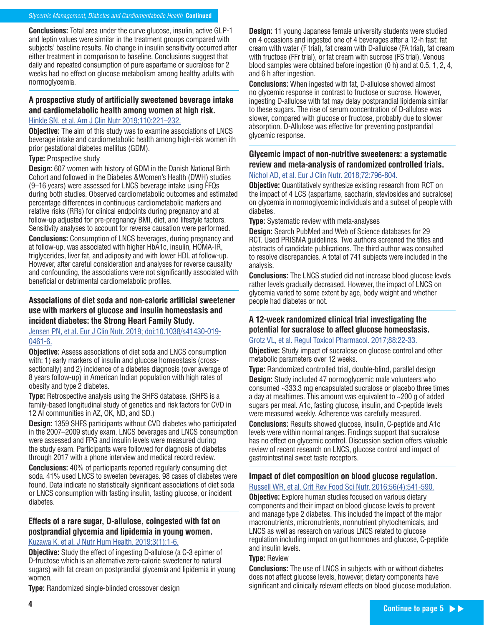**Conclusions:** Total area under the curve glucose, insulin, active GLP-1 and leptin values were similar in the treatment groups compared with subjects' baseline results. No change in insulin sensitivity occurred after either treatment in comparison to baseline. Conclusions suggest that daily and repeated consumption of pure aspartame or sucralose for 2 weeks had no effect on glucose metabolism among healthy adults with normoglycemia.

#### **A prospective study of artificially sweetened beverage intake and cardiometabolic health among women at high risk.**

#### Hinkle SN, et al. Am J Clin Nutr 2019;110:221–232.

**Objective:** The aim of this study was to examine associations of LNCS beverage intake and cardiometabolic health among high-risk women ith prior gestational diabetes mellitus (GDM).

#### **Type:** Prospective study

**Design:** 607 women with history of GDM in the Danish National Birth Cohort and followed in the Diabetes &Women's Health (DWH) studies (9–16 years) were assessed for LNCS beverage intake using FFQs during both studies. Observed cardiometabolic outcomes and estimated percentage differences in continuous cardiometabolic markers and relative risks (RRs) for clinical endpoints during pregnancy and at follow-up adjusted for pre-pregnancy BMI, diet, and lifestyle factors. Sensitivity analyses to account for reverse causation were performed.

**Conclusions:** Consumption of LNCS beverages, during pregnancy and at follow-up, was associated with higher HbA1c, insulin, HOMA-IR, triglycerides, liver fat, and adiposity and with lower HDL at follow-up. However, after careful consideration and analyses for reverse causality and confounding, the associations were not significantly associated with beneficial or detrimental cardiometabolic profiles.

#### **Associations of diet soda and non-caloric artificial sweetener use with markers of glucose and insulin homeostasis and incident diabetes: the Strong Heart Family Study.**

#### Jensen PN, et al. Eur J Clin Nutr. 2019; doi:10.1038/s41430-019- 0461-6.

**Objective:** Assess associations of diet soda and LNCS consumption with: 1) early markers of insulin and glucose homeostasis (crosssectionally) and 2) incidence of a diabetes diagnosis (over average of 8 years follow-up) in American Indian population with high rates of obesity and type 2 diabetes.

**Type:** Retrospective analysis using the SHFS database. (SHFS is a family-based longitudinal study of genetics and risk factors for CVD in 12 AI communities in AZ, OK, ND, and SD.)

**Design:** 1359 SHFS participants without CVD diabetes who participated in the 2007–2009 study exam. LNCS beverages and LNCS consumption were assessed and FPG and insulin levels were measured during the study exam. Participants were followed for diagnosis of diabetes through 2017 with a phone interview and medical record review.

**Conclusions:** 40% of participants reported regularly consuming diet soda. 41% used LNCS to sweeten beverages. 98 cases of diabetes were found. Data indicate no statistically significant associations of diet soda or LNCS consumption with fasting insulin, fasting glucose, or incident diabetes.

#### **Effects of a rare sugar, D-allulose, coingested with fat on postprandial glycemia and lipidemia in young women.**

#### Kuzawa K, et al. J Nutr Hum Health. 2019;3(1):1-6.

**Objective:** Study the effect of ingesting D-allulose (a C-3 epimer of D-fructose which is an alternative zero-calorie sweetener to natural sugars) with fat cream on postprandial glycemia and lipidemia in young women.

**Type:** Randomized single-blinded crossover design

**Design:** 11 young Japanese female university students were studied on 4 occasions and ingested one of 4 beverages after a 12-h fast: fat cream with water (F trial), fat cream with D-allulose (FA trial), fat cream with fructose (FFr trial), or fat cream with sucrose (FS trial). Venous blood samples were obtained before ingestion (0 h) and at 0.5, 1, 2, 4, and 6 h after ingestion.

**Conclusions:** When ingested with fat, D-allulose showed almost no glycemic response in contrast to fructose or sucrose. However, ingesting D-allulose with fat may delay postprandial lipidemia similar to these sugars. The rise of serum concentration of D-allulose was slower, compared with glucose or fructose, probably due to slower absorption. D-Allulose was effective for preventing postprandial glycemic response.

#### **Glycemic impact of non-nutritive sweeteners: a systematic review and meta-analysis of randomized controlled trials.**

#### Nichol AD, et al. Eur J Clin Nutr. 2018;72:796-804.

**Objective:** Quantitatively synthesize existing research from RCT on the impact of 4 LCS (aspartame, saccharin, steviosides and sucralose) on glycemia in normoglycemic individuals and a subset of people with diabetes.

**Type:** Systematic review with meta-analyses

**Design:** Search PubMed and Web of Science databases for 29 RCT. Used PRISMA guidelines. Two authors screened the titles and abstracts of candidate publications. The third author was consulted to resolve discrepancies. A total of 741 subjects were included in the analysis.

**Conclusions:** The LNCS studied did not increase blood glucose levels rather levels gradually decreased. However, the impact of LNCS on glycemia varied to some extent by age, body weight and whether people had diabetes or not.

#### **A 12-week randomized clinical trial investigating the potential for sucralose to affect glucose homeostasis.**

#### Grotz VL, et al. Regul Toxicol Pharmacol. 2017;88:22-33.

**Objective:** Study impact of sucralose on glucose control and other metabolic parameters over 12 weeks.

**Type:** Randomized controlled trial, double-blind, parallel design **Design:** Study included 47 normoglycemic male volunteers who consumed ~333.3 mg encapsulated sucralose or placebo three times a day at mealtimes. This amount was equivalent to ~200 g of added sugars per meal. A1c, fasting glucose, insulin, and C-peptide levels were measured weekly. Adherence was carefully measured.

**Conclusions:** Results showed glucose, insulin, C-peptide and A1c levels were within normal ranges. Findings support that sucralose has no effect on glycemic control. Discussion section offers valuable review of recent research on LNCS, glucose control and impact of gastrointestinal sweet taste receptors.

#### **Impact of diet composition on blood glucose regulation.**  Russell WR, et al. Crit Rev Food Sci Nutr, 2016;56(4):541-590.

**Objective:** Explore human studies focused on various dietary components and their impact on blood glucose levels to prevent and manage type 2 diabetes. This included the impact of the major macronutrients, micronutrients, nonnutrient phytochemicals, and LNCS as well as research on various LNCS related to glucose regulation including impact on gut hormones and glucose, C-peptide and insulin levels.

#### **Type:** Review

**Conclusions:** The use of LNCS in subjects with or without diabetes does not affect glucose levels, however, dietary components have significant and clinically relevant effects on blood glucose modulation.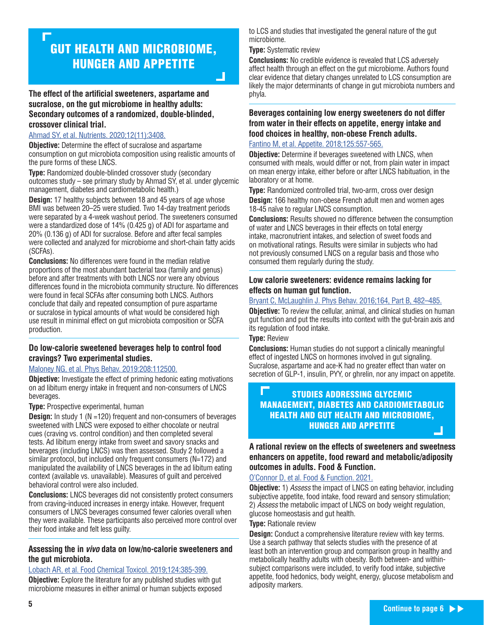## GUT HEALTH AND MICROBIOME, HUNGER AND APPETITE

**The effect of the artificial sweeteners, aspartame and sucralose, on the gut microbiome in healthy adults: Secondary outcomes of a randomized, double-blinded, crossover clinical trial.** 

#### Ahmad SY, et al. Nutrients. 2020;12(11):3408.

**Objective:** Determine the effect of sucralose and aspartame consumption on gut microbiota composition using realistic amounts of the pure forms of these LNCS.

**Type:** Randomized double-blinded crossover study (secondary outcomes study – see primary study by Ahmad SY, et al. under glycemic management, diabetes and cardiometabolic health.)

**Design:** 17 healthy subjects between 18 and 45 years of age whose BMI was between 20–25 were studied. Two 14-day treatment periods were separated by a 4-week washout period. The sweeteners consumed were a standardized dose of 14% (0.425 g) of ADI for aspartame and 20% (0.136 g) of ADI for sucralose. Before and after fecal samples were collected and analyzed for microbiome and short-chain fatty acids (SCFAs).

**Conclusions:** No differences were found in the median relative proportions of the most abundant bacterial taxa (family and genus) before and after treatments with both LNCS nor were any obvious differences found in the microbiota community structure. No differences were found in fecal SCFAs after consuming both LNCS. Authors conclude that daily and repeated consumption of pure aspartame or sucralose in typical amounts of what would be considered high use result in minimal effect on gut microbiota composition or SCFA production.

#### **Do low-calorie sweetened beverages help to control food cravings? Two experimental studies.**

#### Maloney NG, et al. Phys Behav. 2019:208:112500.

**Objective:** Investigate the effect of priming hedonic eating motivations on ad libitum energy intake in frequent and non-consumers of LNCS beverages.

#### **Type:** Prospective experimental, human

**Design:** In study 1 (N = 120) frequent and non-consumers of beverages sweetened with LNCS were exposed to either chocolate or neutral cues (craving vs. control condition) and then completed several tests. Ad libitum energy intake from sweet and savory snacks and beverages (including LNCS) was then assessed. Study 2 followed a similar protocol, but included only frequent consumers (N=172) and manipulated the availability of LNCS beverages in the ad libitum eating context (available vs. unavailable). Measures of guilt and perceived behavioral control were also included.

**Conclusions:** LNCS beverages did not consistently protect consumers from craving-induced increases in energy intake. However, frequent consumers of LNCS beverages consumed fewer calories overall when they were available. These participants also perceived more control over their food intake and felt less guilty.

#### **Assessing the in** *vivo* **data on low/no-calorie sweeteners and the gut microbiota.**

#### Lobach AR, et al. Food Chemical Toxicol. 2019;124:385-399.

**Objective:** Explore the literature for any published studies with gut microbiome measures in either animal or human subjects exposed to LCS and studies that investigated the general nature of the gut microbiome.

**Type:** Systematic review

**Conclusions:** No credible evidence is revealed that LCS adversely affect health through an effect on the gut microbiome. Authors found clear evidence that dietary changes unrelated to LCS consumption are likely the major determinants of change in gut microbiota numbers and phyla.

### **Beverages containing low energy sweeteners do not differ from water in their effects on appetite, energy intake and food choices in healthy, non-obese French adults.**

Fantino M, et al. Appetite. 2018;125:557-565.

**Objective:** Determine if beverages sweetened with LNCS, when consumed with meals, would differ or not, from plain water in impact on mean energy intake, either before or after LNCS habituation, in the laboratory or at home.

**Type:** Randomized controlled trial, two-arm, cross over design

**Design:** 166 healthy non-obese French adult men and women ages 18-45 naïve to regular LNCS consumption.

**Conclusions:** Results showed no difference between the consumption of water and LNCS beverages in their effects on total energy intake, macronutrient intakes, and selection of sweet foods and on motivational ratings. Results were similar in subjects who had not previously consumed LNCS on a regular basis and those who consumed them regularly during the study.

#### **Low calorie sweeteners: evidence remains lacking for effects on human gut function.**

#### Bryant C, McLaughlin J. Phys Behav. 2016;164, Part B, 482–485.

**Objective:** To review the cellular, animal, and clinical studies on human gut function and put the results into context with the gut-brain axis and its regulation of food intake.

#### **Type:** Review

**Conclusions:** Human studies do not support a clinically meaningful effect of ingested LNCS on hormones involved in gut signaling. Sucralose, aspartame and ace-K had no greater effect than water on secretion of GLP-1, insulin, PYY, or ghrelin, nor any impact on appetite.

#### STUDIES ADDRESSING GLYCEMIC MANAGEMENT, DIABETES AND CARDIOMETABOLIC HEALTH AND GUT HEALTH AND MICROBIOME, HUNGER AND APPETITE  $\Box$

#### **A rational review on the effects of sweeteners and sweetness enhancers on appetite, food reward and metabolic/adiposity outcomes in adults. Food & Function.**

O'Connor D, et al. Food & Function. 2021.

**Objective:** 1) *Assess* the impact of LNCS on eating behavior, including subjective appetite, food intake, food reward and sensory stimulation; 2) Assess the metabolic impact of LNCS on body weight regulation, glucose homeostasis and gut health.

#### **Type:** Rationale review

**Design:** Conduct a comprehensive literature review with key terms. Use a search pathway that selects studies with the presence of at least both an intervention group and comparison group in healthy and metabolically healthy adults with obesity. Both between- and withinsubject comparisons were included, to verify food intake, subjective appetite, food hedonics, body weight, energy, glucose metabolism and adiposity markers.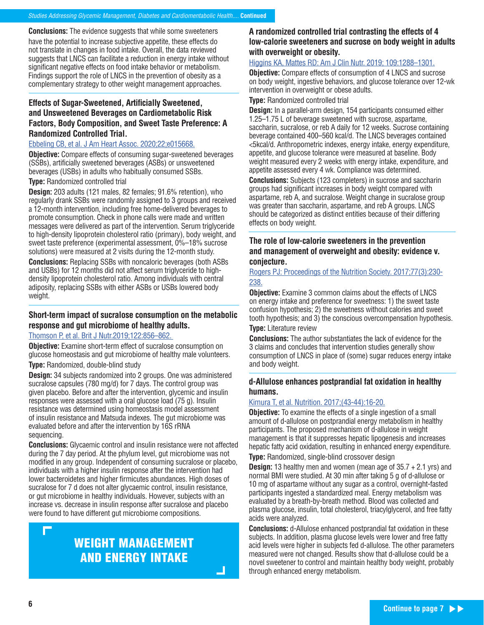**Conclusions:** The evidence suggests that while some sweeteners have the potential to increase subjective appetite, these effects do not translate in changes in food intake. Overall, the data reviewed suggests that LNCS can facilitate a reduction in energy intake without significant negative effects on food intake behavior or metabolism. Findings support the role of LNCS in the prevention of obesity as a complementary strategy to other weight management approaches.

#### **Effects of Sugar-Sweetened, Artificially Sweetened, and Unsweetened Beverages on Cardiometabolic Risk Factors, Body Composition, and Sweet Taste Preference: A Randomized Controlled Trial.**

#### Ebbeling CB, et al. J Am Heart Assoc. 2020;22;e015668.

**Objective:** Compare effects of consuming sugar‐sweetened beverages (SSBs), artificially sweetened beverages (ASBs) or unsweetened beverages (USBs) in adults who habitually consumed SSBs.

#### **Type:** Randomized controlled trial

**Design:** 203 adults (121 males, 82 females; 91.6% retention), who regularly drank SSBs were randomly assigned to 3 groups and received a 12-month intervention, including free home-delivered beverages to promote consumption. Check in phone calls were made and written messages were delivered as part of the intervention. Serum triglyceride to high-density lipoprotein cholesterol ratio (primary), body weight, and sweet taste preference (experimental assessment, 0%–18% sucrose solutions) were measured at 2 visits during the 12-month study.

**Conclusions:** Replacing SSBs with noncaloric beverages (both ASBs and USBs) for 12 months did not affect serum triglyceride to high‐ density lipoprotein cholesterol ratio. Among individuals with central adiposity, replacing SSBs with either ASBs or USBs lowered body weight.

#### **Short-term impact of sucralose consumption on the metabolic response and gut microbiome of healthy adults.**

#### Thomson P, et al. Brit J Nutr.2019;122:856–862.

**Objective:** Examine short-term effect of sucralose consumption on glucose homeostasis and gut microbiome of healthy male volunteers.

**Type:** Randomized, double-blind study

**Design:** 34 subjects randomized into 2 groups. One was administered sucralose capsules (780 mg/d) for 7 days. The control group was given placebo. Before and after the intervention, glycemic and insulin responses were assessed with a oral glucose load (75 g). Insulin resistance was determined using homeostasis model assessment of insulin resistance and Matsuda indexes. The gut microbiome was evaluated before and after the intervention by 16S rRNA sequencing.

**Conclusions:** Glycaemic control and insulin resistance were not affected during the 7 day period. At the phylum level, gut microbiome was not modified in any group. Independent of consuming sucralose or placebo, individuals with a higher insulin response after the intervention had lower bacteroidetes and higher firmicutes abundances. High doses of sucralose for 7 d does not alter glycaemic control, insulin resistance, or gut microbiome in healthy individuals. However, subjects with an increase vs. decrease in insulin response after sucralose and placebo were found to have different gut microbiome compositions.

### WEIGHT MANAGEMENT AND ENERGY INTAKE

#### **A randomized controlled trial contrasting the effects of 4 low-calorie sweeteners and sucrose on body weight in adults with overweight or obesity.**

#### Higgins KA, Mattes RD: Am J Clin Nutr. 2019; 109:1288–1301.

**Objective:** Compare effects of consumption of 4 LNCS and sucrose on body weight, ingestive behaviors, and glucose tolerance over 12-wk intervention in overweight or obese adults.

**Type:** Randomized controlled trial

**Design:** In a parallel-arm design, 154 participants consumed either 1.25–1.75 L of beverage sweetened with sucrose, aspartame, saccharin, sucralose, or reb A daily for 12 weeks. Sucrose containing beverage contained 400–560 kcal/d. The LNCS beverages contained <5kcal/d. Anthropometric indexes, energy intake, energy expenditure, appetite, and glucose tolerance were measured at baseline. Body weight measured every 2 weeks with energy intake, expenditure, and appetite assessed every 4 wk. Compliance was determined.

**Conclusions:** Subjects (123 completers) in sucrose and saccharin groups had significant increases in body weight compared with aspartame, reb A, and sucralose. Weight change in sucralose group was greater than saccharin, aspartame, and reb A groups. LNCS should be categorized as distinct entities because of their differing effects on body weight.

#### **The role of low-calorie sweeteners in the prevention and management of overweight and obesity: evidence v. conjecture.**

Rogers PJ: Proceedings of the Nutrition Society. 2017;77(3):230- 238.

**Objective:** Examine 3 common claims about the effects of LNCS on energy intake and preference for sweetness: 1) the sweet taste confusion hypothesis; 2) the sweetness without calories and sweet tooth hypothesis; and 3) the conscious overcompensation hypothesis.

#### **Type:** Literature review

**Conclusions:** The author substantiates the lack of evidence for the 3 claims and concludes that intervention studies generally show consumption of LNCS in place of (some) sugar reduces energy intake and body weight.

#### **d-Allulose enhances postprandial fat oxidation in healthy humans.**

#### Kimura T, et al. Nutrition. 2017;(43-44):16-20.

**Objective:** To examine the effects of a single ingestion of a small amount of d-allulose on postprandial energy metabolism in healthy participants. The proposed mechanism of d-allulose in weight management is that it suppresses hepatic lipogenesis and increases hepatic fatty acid oxidation, resulting in enhanced energy expenditure.

**Type:** Randomized, single-blind crossover design

**Design:** 13 healthy men and women (mean age of 35.7 + 2.1 yrs) and normal BMI were studied. At 30 min after taking 5 g of d-allulose or 10 mg of aspartame without any sugar as a control, overnight-fasted participants ingested a standardized meal. Energy metabolism was evaluated by a breath-by-breath method. Blood was collected and plasma glucose, insulin, total cholesterol, triacylglycerol, and free fatty acids were analyzed.

**Conclusions:** d-Allulose enhanced postprandial fat oxidation in these subjects. In addition, plasma glucose levels were lower and free fatty acid levels were higher in subjects fed d-allulose. The other parameters measured were not changed. Results show that d-allulose could be a novel sweetener to control and maintain healthy body weight, probably through enhanced energy metabolism.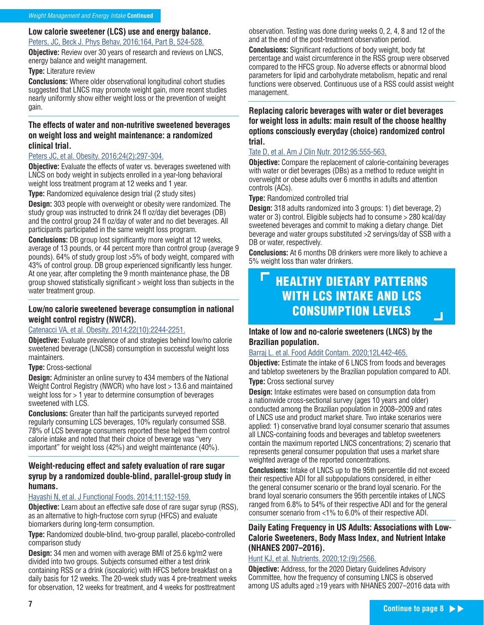#### **Low calorie sweetener (LCS) use and energy balance.**

Peters, JC, Beck J. Phys Behav, 2016;164, Part B, 524-528.

**Objective:** Review over 30 years of research and reviews on LNCS, energy balance and weight management.

**Type:** Literature review

**Conclusions:** Where older observational longitudinal cohort studies suggested that LNCS may promote weight gain, more recent studies nearly uniformly show either weight loss or the prevention of weight gain.

#### **The effects of water and non-nutritive sweetened beverages on weight loss and weight maintenance: a randomized clinical trial.**

#### Peters JC, et al. Obesity. 2016;24(2):297-304.

**Objective:** Evaluate the effects of water vs. beverages sweetened with LNCS on body weight in subjects enrolled in a year-long behavioral weight loss treatment program at 12 weeks and 1 year.

**Type:** Randomized equivalence design trial (2 study sites)

**Design:** 303 people with overweight or obesity were randomized. The study group was instructed to drink 24 fl oz/day diet beverages (DB) and the control group 24 fl oz/day of water and no diet beverages. All participants participated in the same weight loss program.

**Conclusions:** DB group lost significantly more weight at 12 weeks. average of 13 pounds, or 44 percent more than control group (average 9 pounds). 64% of study group lost >5% of body weight, compared with 43% of control group. DB group experienced significantly less hunger. At one year, after completing the 9 month maintenance phase, the DB group showed statistically significant > weight loss than subjects in the water treatment group.

#### **Low/no calorie sweetened beverage consumption in national weight control registry (NWCR).**

#### Catenacci VA, et al. Obesity. 2014;22(10):2244-2251.

**Objective:** Evaluate prevalence of and strategies behind low/no calorie sweetened beverage (LNCSB) consumption in successful weight loss maintainers.

#### **Type:** Cross-sectional

**Design:** Administer an online survey to 434 members of the National Weight Control Registry (NWCR) who have lost > 13.6 and maintained weight loss for > 1 year to determine consumption of beverages sweetened with LCS.

**Conclusions:** Greater than half the participants surveyed reported regularly consuming LCS beverages, 10% regularly consumed SSB. 78% of LCS beverage consumers reported these helped them control calorie intake and noted that their choice of beverage was "very important" for weight loss (42%) and weight maintenance (40%).

#### **Weight-reducing effect and safety evaluation of rare sugar syrup by a randomized double-blind, parallel-group study in humans.**

#### Hayashi N, et al. J Functional Foods. 2014;11:152-159.

**Objective:** Learn about an effective safe dose of rare sugar syrup (RSS), as an alternative to high-fructose corn syrup (HFCS) and evaluate biomarkers during long-term consumption.

**Type:** Randomized double-blind, two-group parallel, placebo-controlled comparison study

**Design:** 34 men and women with average BMI of 25.6 kg/m2 were divided into two groups. Subjects consumed either a test drink containing RSS or a drink (isocaloric) with HFCS before breakfast on a daily basis for 12 weeks. The 20-week study was 4 pre-treatment weeks for observation, 12 weeks for treatment, and 4 weeks for posttreatment

observation. Testing was done during weeks 0, 2, 4, 8 and 12 of the and at the end of the post-treatment observation period.

**Conclusions:** Significant reductions of body weight, body fat percentage and waist circumference in the RSS group were observed compared to the HFCS group. No adverse effects or abnormal blood parameters for lipid and carbohydrate metabolism, hepatic and renal functions were observed. Continuous use of a RSS could assist weight management.

#### **Replacing caloric beverages with water or diet beverages for weight loss in adults: main result of the choose healthy options consciously everyday (choice) randomized control trial.**

#### Tate D, et al. Am J Clin Nutr. 2012;95:555-563.

**Objective:** Compare the replacement of calorie-containing beverages with water or diet beverages (DBs) as a method to reduce weight in overweight or obese adults over 6 months in adults and attention controls (ACs).

**Type:** Randomized controlled trial

**Design:** 318 adults randomized into 3 groups: 1) diet beverage, 2) water or 3) control. Eligible subjects had to consume > 280 kcal/day sweetened beverages and commit to making a dietary change. Diet beverage and water groups substituted >2 servings/day of SSB with a DB or water, respectively.

**Conclusions:** At 6 months DB drinkers were more likely to achieve a 5% weight loss than water drinkers.

### HEALTHY DIETARY PATTERNS WITH LCS INTAKE AND LCS CONSUMPTION LEVELS

#### **Intake of low and no-calorie sweeteners (LNCS) by the Brazilian population.**

#### Barraj L. et al. Food Addit Contam. 2020;12L442-465.

**Objective:** Estimate the intake of 6 LNCS from foods and beverages and tabletop sweeteners by the Brazilian population compared to ADI.

**Type:** Cross sectional survey

**Design:** Intake estimates were based on consumption data from a nationwide cross-sectional survey (ages 10 years and older) conducted among the Brazilian population in 2008–2009 and rates of LNCS use and product market share. Two intake scenarios were applied: 1) conservative brand loyal consumer scenario that assumes all LNCS-containing foods and beverages and tabletop sweeteners contain the maximum reported LNCS concentrations; 2) scenario that represents general consumer population that uses a market share weighted average of the reported concentrations.

**Conclusions:** Intake of LNCS up to the 95th percentile did not exceed their respective ADI for all subpopulations considered, in either the general consumer scenario or the brand loyal scenario. For the brand loyal scenario consumers the 95th percentile intakes of LNCS ranged from 6.8% to 54% of their respective ADI and for the general consumer scenario from <1% to 6.0% of their respective ADI.

#### **Daily Eating Frequency in US Adults: Associations with Low-Calorie Sweeteners, Body Mass Index, and Nutrient Intake (NHANES 2007–2016).**

#### Hunt KJ, et al. Nutrients. 2020;12:(9):2566.

**Objective:** Address, for the 2020 Dietary Guidelines Advisory Committee, how the frequency of consuming LNCS is observed among US adults aged ≥19 years with NHANES 2007–2016 data with

 $\perp$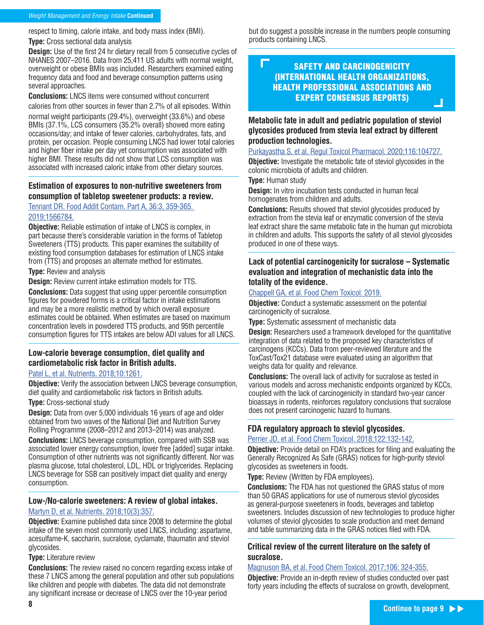#### Weight Management and Energy Intake **Continued**

respect to timing, calorie intake, and body mass index (BMI).

**Type:** Cross sectional data analysis

**Design:** Use of the first 24 hr dietary recall from 5 consecutive cycles of NHANES 2007–2016. Data from 25,411 US adults with normal weight, overweight or obese BMIs was included. Researchers examined eating frequency data and food and beverage consumption patterns using several approaches.

**Conclusions:** LNCS items were consumed without concurrent calories from other sources in fewer than 2.7% of all episodes. Within

normal weight participants (29.4%), overweight (33.6%) and obese BMIs (37.1%, LCS consumers (35.2% overall) showed more eating occasions/day; and intake of fewer calories, carbohydrates, fats, and protein, per occasion. People consuming LNCS had lower total calories and higher fiber intake per day yet consumption was associated with higher BMI. These results did not show that LCS consumption was associated with increased caloric intake from other dietary sources.

#### **Estimation of exposures to non-nutritive sweeteners from consumption of tabletop sweetener products: a review.**

Tennant DR. Food Addit Contam. Part A, 36:3, 359-365. 2019;1566784.

**Objective:** Reliable estimation of intake of LNCS is complex, in part because there's considerable variation in the forms of Tabletop Sweeteners (TTS) products. This paper examines the suitability of existing food consumption databases for estimation of LNCS intake from (TTS) and proposes an alternate method for estimates.

**Type:** Review and analysis

**Design:** Review current intake estimation models for TTS.

**Conclusions:** Data suggest that using upper percentile consumption figures for powdered forms is a critical factor in intake estimations and may be a more realistic method by which overall exposure estimates could be obtained. When estimates are based on maximum concentration levels in powdered TTS products, and 95th percentile consumption figures for TTS intakes are below ADI values for all LNCS.

#### **Low-calorie beverage consumption, diet quality and cardiometabolic risk factor in British adults.**

#### Patel L, et al. Nutrients. 2018;10:1261.

**Objective:** Verify the association between LNCS beverage consumption, diet quality and cardiometabolic risk factors in British adults.

#### **Type:** Cross-sectional study

**Design:** Data from over 5,000 individuals 16 years of age and older obtained from two waves of the National Diet and Nutrition Survey Rolling Programme (2008–2012 and 2013–2014) was analyzed.

**Conclusions:** LNCS beverage consumption, compared with SSB was associated lower energy consumption, lower free [added] sugar intake. Consumption of other nutrients was not significantly different. Nor was plasma glucose, total cholesterol, LDL, HDL or triglycerides. Replacing LNCS beverage for SSB can positively impact diet quality and energy consumption.

#### **Low-/No-calorie sweeteners: A review of global intakes.**

#### Martyn D, et al. Nutrients. 2018;10(3):357.

**Objective:** Examine published data since 2008 to determine the global intake of the seven most commonly used LNCS, including: aspartame, acesulfame-K, saccharin, sucralose, cyclamate, thaumatin and steviol glycosides.

#### **Type:** Literature review

**Conclusions:** The review raised no concern regarding excess intake of these 7 LNCS among the general population and other sub populations like children and people with diabetes. The data did not demonstrate any significant increase or decrease of LNCS over the 10-year period

but do suggest a possible increase in the numbers people consuming products containing LNCS.

#### Г SAFETY AND CARCINOGENICITY (INTERNATIONAL HEALTH ORGANIZATIONS, HEALTH PROFESSIONAL ASSOCIATIONS AND EXPERT CONSENSUS REPORTS)

 $\Box$ 

#### **Metabolic fate in adult and pediatric population of steviol glycosides produced from stevia leaf extract by different production technologies.**

#### Purkayastha S, et al. Regul Toxicol Pharmacol. 2020;116:104727.

**Objective:** Investigate the metabolic fate of steviol glycosides in the colonic microbiota of adults and children.

#### **Type:** Human study

**Design:** In vitro incubation tests conducted in human fecal homogenates from children and adults.

**Conclusions:** Results showed that steviol glycosides produced by extraction from the stevia leaf or enzymatic conversion of the stevia leaf extract share the same metabolic fate in the human gut microbiota in children and adults. This supports the safety of all steviol glycosides produced in one of these ways.

#### **Lack of potential carcinogenicity for sucralose – Systematic evaluation and integration of mechanistic data into the totality of the evidence.**

#### Chappell GA, et al. Food Chem Toxicol. 2019.

**Objective:** Conduct a systematic assessment on the potential carcinogenicity of sucralose.

**Type:** Systematic assessment of mechanistic data

**Design:** Researchers used a framework developed for the quantitative integration of data related to the proposed key characteristics of carcinogens (KCCs). Data from peer-reviewed literature and the ToxCast/Tox21 database were evaluated using an algorithm that weighs data for quality and relevance.

**Conclusions:** The overall lack of activity for sucralose as tested in various models and across mechanistic endpoints organized by KCCs, coupled with the lack of carcinogenicity in standard two-year cancer bioassays in rodents, reinforces regulatory conclusions that sucralose does not present carcinogenic hazard to humans.

#### **FDA regulatory approach to steviol glycosides.**

#### Perrier JD, et al. Food Chem Toxicol. 2018;122:132-142.

**Objective:** Provide detail on FDA's practices for filing and evaluating the Generally Recognized As Safe (GRAS) notices for high-purity steviol glycosides as sweeteners in foods.

**Type:** Review (Written by FDA employees).

**Conclusions:** The FDA has not questioned the GRAS status of more than 50 GRAS applications for use of numerous steviol glycosides as general-purpose sweeteners in foods, beverages and tabletop sweeteners. Includes discussion of new technologies to produce higher volumes of steviol glycosides to scale production and meet demand and table summarizing data in the GRAS notices filed with FDA.

#### **Critical review of the current literature on the safety of sucralose.**

#### Magnuson BA, et al. Food Chem Toxicol. 2017;106: 324-355.

**Objective:** Provide an in-depth review of studies conducted over past forty years including the effects of sucralose on growth, development,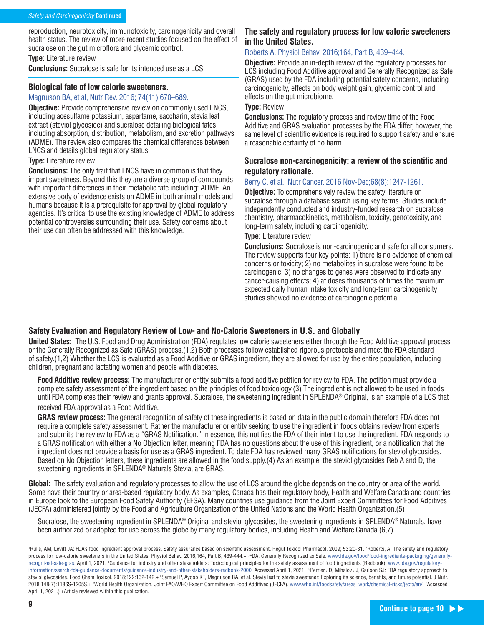reproduction, neurotoxicity, immunotoxicity, carcinogenicity and overall health status. The review of more recent studies focused on the effect of sucralose on the gut microflora and glycemic control.

**Type:** Literature review

**Conclusions:** Sucralose is safe for its intended use as a LCS.

#### **Biological fate of low calorie sweeteners.**

#### Magnuson BA, et al, Nutr Rev. 2016; 74(11):670–689.

**Objective:** Provide comprehensive review on commonly used LNCS, including acesulfame potassium, aspartame, saccharin, stevia leaf extract (steviol glycoside) and sucralose detailing biological fates, including absorption, distribution, metabolism, and excretion pathways (ADME). The review also compares the chemical differences between LNCS and details global regulatory status.

#### **Type:** Literature review

**Conclusions:** The only trait that LNCS have in common is that they impart sweetness. Beyond this they are a diverse group of compounds with important differences in their metabolic fate including: ADME. An extensive body of evidence exists on ADME in both animal models and humans because it is a prerequisite for approval by global regulatory agencies. It's critical to use the existing knowledge of ADME to address potential controversies surrounding their use. Safety concerns about their use can often be addressed with this knowledge.

#### **The safety and regulatory process for low calorie sweeteners in the United States.**

#### Roberts A. Physiol Behav, 2016;164, Part B, 439–444.

**Objective:** Provide an in-depth review of the regulatory processes for LCS including Food Additive approval and Generally Recognized as Safe (GRAS) used by the FDA including potential safety concerns, including carcinogenicity, effects on body weight gain, glycemic control and effects on the gut microbiome.

#### **Type:** Review

**Conclusions:** The regulatory process and review time of the Food Additive and GRAS evaluation processes by the FDA differ, however, the same level of scientific evidence is required to support safety and ensure a reasonable certainty of no harm.

#### **Sucralose non-carcinogenicity: a review of the scientific and regulatory rationale.**

#### Berry C, et al., Nutr Cancer. 2016 Nov-Dec;68(8):1247-1261.

**Objective:** To comprehensively review the safety literature on sucralose through a database search using key terms. Studies include independently conducted and industry-funded research on sucralose chemistry, pharmacokinetics, metabolism, toxicity, genotoxicity, and long-term safety, including carcinogenicity.

#### **Type:** Literature review

**Conclusions:** Sucralose is non-carcinogenic and safe for all consumers. The review supports four key points: 1) there is no evidence of chemical concerns or toxicity; 2) no metabolites in sucralose were found to be carcinogenic; 3) no changes to genes were observed to indicate any cancer-causing effects; 4) at doses thousands of times the maximum expected daily human intake toxicity and long-term carcinogenicity studies showed no evidence of carcinogenic potential.

#### **Safety Evaluation and Regulatory Review of Low- and No-Calorie Sweeteners in U.S. and Globally**

**United States:** The U.S. Food and Drug Administration (FDA) regulates low calorie sweeteners either through the Food Additive approval process or the Generally Recognized as Safe (GRAS) process.(1,2) Both processes follow established rigorous protocols and meet the FDA standard of safety.(1,2) Whether the LCS is evaluated as a Food Additive or GRAS ingredient, they are allowed for use by the entire population, including children, pregnant and lactating women and people with diabetes.

**Food Additive review process:** The manufacturer or entity submits a food additive petition for review to FDA. The petition must provide a complete safety assessment of the ingredient based on the principles of food toxicology.(3) The ingredient is not allowed to be used in foods until FDA completes their review and grants approval. Sucralose, the sweetening ingredient in SPLENDA® Original, is an example of a LCS that received FDA approval as a Food Additive.

**GRAS review process:** The general recognition of safety of these ingredients is based on data in the public domain therefore FDA does not require a complete safety assessment. Rather the manufacturer or entity seeking to use the ingredient in foods obtains review from experts and submits the review to FDA as a "GRAS Notification." In essence, this notifies the FDA of their intent to use the ingredient. FDA responds to a GRAS notification with either a No Objection letter, meaning FDA has no questions about the use of this ingredient, or a notification that the ingredient does not provide a basis for use as a GRAS ingredient. To date FDA has reviewed many GRAS notifications for steviol glycosides. Based on No Objection letters, these ingredients are allowed in the food supply.(4) As an example, the steviol glycosides Reb A and D, the sweetening ingredients in SPLENDA® Naturals Stevia, are GRAS.

**Global:** The safety evaluation and regulatory processes to allow the use of LCS around the globe depends on the country or area of the world. Some have their country or area-based regulatory body. As examples, Canada has their regulatory body, Health and Welfare Canada and countries in Europe look to the European Food Safety Authority (EFSA). Many countries use guidance from the Joint Expert Committees for Food Additives (JECFA) administered jointly by the Food and Agriculture Organization of the United Nations and the World Health Organization.(5)

Sucralose, the sweetening ingredient in SPLENDA® Original and steviol glycosides, the sweetening ingredients in SPLENDA® Naturals, have been authorized or adopted for use across the globe by many regulatory bodies, including Health and Welfare Canada.(6,7)

<sup>&#</sup>x27;Rulis, AM, Levitt JA: FDA's food ingredient approval process. Safety assurance based on scientific assessment. Regul Toxicol Pharmacol. 2009; 53:20-31. ?Roberts, A. The safety and regulatory process for low-calorie sweeteners in the United States. Physiol Behav. 2016;164, Part B, 439-444.+ <sup>s</sup>FDA. Generally Recognized as Safe. <u>www.fda.gov/food/food-ingredients-packaging/generally-</u> <u>recognized-safe-gras</u>. April 1, 2021. <del>'</del>Guidance for industry and other stakeholders: Toxicological principles for the safety assessment of food ingredients (Redbook). <u>www.fda.gov/regulatory-</u> information/search-fda-guidance-documents/guidance-industry-and-other-stakeholders-redbook-2000. Accessed April 1, 2021. 5 Perrier JD, Mihalov JJ, Carlson SJ: FDA regulatory approach to steviol glycosides. Food Chem Toxicol. 2018;122:132-142.+ <sup>e</sup>Samuel P, Ayoob KT, Magnuson BA, et al. Stevia leaf to stevia sweetener: Exploring its science, benefits, and future potential. J Nutr. 2018;148(7):1186S-1205S.+ 7World Health Organization. Joint FAO/WHO Expert Committee on Food Additives (JECFA). <u>www.who.int/foodsafety/areas\_work/chemical-risks/jecfa/en/</u>. (Accessed April 1, 2021.) +Article reviewed within this publication.